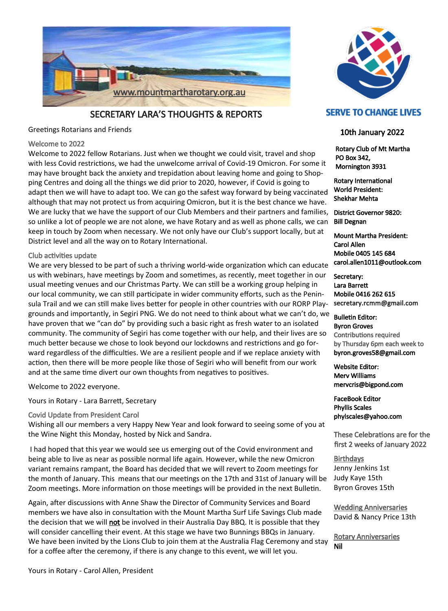

SECRETARY LARA'S THOUGHTS & REPORTS

Greetings Rotarians and Friends

#### Welcome to 2022

Welcome to 2022 fellow Rotarians. Just when we thought we could visit, travel and shop with less Covid restrictions, we had the unwelcome arrival of Covid-19 Omicron. For some it may have brought back the anxiety and trepidation about leaving home and going to Shopping Centres and doing all the things we did prior to 2020, however, if Covid is going to adapt then we will have to adapt too. We can go the safest way forward by being vaccinated although that may not protect us from acquiring Omicron, but it is the best chance we have. We are lucky that we have the support of our Club Members and their partners and families, so unlike a lot of people we are not alone, we have Rotary and as well as phone calls, we can keep in touch by Zoom when necessary. We not only have our Club's support locally, but at District level and all the way on to Rotary International.

#### Club activities update

We are very blessed to be part of such a thriving world-wide organization which can educate us with webinars, have meetings by Zoom and sometimes, as recently, meet together in our usual meeting venues and our Christmas Party. We can still be a working group helping in our local community, we can still participate in wider community efforts, such as the Peninsula Trail and we can still make lives better for people in other countries with our RORP Playgrounds and importantly, in Segiri PNG. We do not need to think about what we can't do, we have proven that we "can do" by providing such a basic right as fresh water to an isolated community. The community of Segiri has come together with our help, and their lives are so much better because we chose to look beyond our lockdowns and restrictions and go forward regardless of the difficulties. We are a resilient people and if we replace anxiety with action, then there will be more people like those of Segiri who will benefit from our work and at the same time divert our own thoughts from negatives to positives.

Welcome to 2022 everyone.

Yours in Rotary - Lara Barrett, Secretary

Covid Update from President Carol

Wishing all our members a very Happy New Year and look forward to seeing some of you at the Wine Night this Monday, hosted by Nick and Sandra.

I had hoped that this year we would see us emerging out of the Covid environment and being able to live as near as possible normal life again. However, while the new Omicron variant remains rampant, the Board has decided that we will revert to Zoom meetings for the month of January. This means that our meetings on the 17th and 31st of January will be Zoom meetings. More information on those meetings will be provided in the next Bulletin.

Again, after discussions with Anne Shaw the Director of Community Services and Board members we have also in consultation with the Mount Martha Surf Life Savings Club made the decision that we will not be involved in their Australia Day BBQ. It is possible that they will consider cancelling their event. At this stage we have two Bunnings BBQs in January. We have been invited by the Lions Club to join them at the Australia Flag Ceremony and stay for a coffee after the ceremony, if there is any change to this event, we will let you.



#### **SERVE TO CHANGE LIVES**

#### 10th January 2022

 Rotary Club of Mt Martha PO Box 342, Mornington 3931

Rotary International World President: Shekhar Mehta

District Governor 9820: Bill Degnan

Mount Martha President: Carol Allen Mobile 0405 145 684 carol.allen1011@outlook.com

Secretary: Lara Barrett Mobile 0416 262 615 secretary.rcmm@gmail.com

Bulletin Editor: Byron Groves Contributions required by Thursday 6pm each week to byron.groves58@gmail.com

Website Editor: Merv Williams mervcris@bigpond.com

FaceBook Editor Phyllis Scales phylscales@yahoo.com

These Celebrations are for the first 2 weeks of January 2022

**Birthdays** Jenny Jenkins 1st Judy Kaye 15th Byron Groves 15th

Wedding Anniversaries David & Nancy Price 13th

Rotary Anniversaries Nil

Yours in Rotary - Carol Allen, President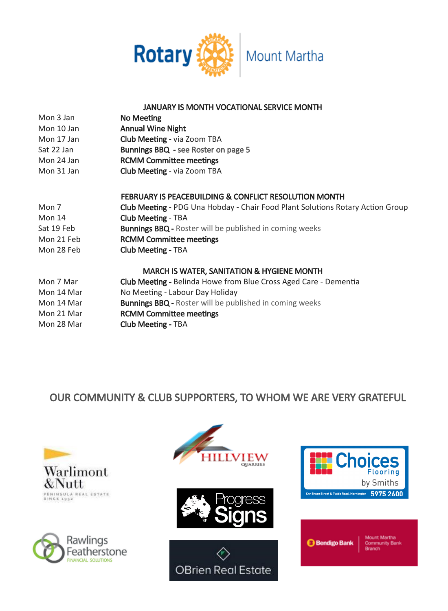

#### JANUARY IS MONTH VOCATIONAL SERVICE MONTH

| Mon 3 Jan  | No Meeting                                                       |
|------------|------------------------------------------------------------------|
| Mon 10 Jan | <b>Annual Wine Night</b>                                         |
| Mon 17 Jan | <b>Club Meeting - via Zoom TBA</b>                               |
| Sat 22 Jan | Bunnings BBQ - see Roster on page 5                              |
| Mon 24 Jan | <b>RCMM Committee meetings</b>                                   |
| Mon 31 Jan | <b>Club Meeting - via Zoom TBA</b>                               |
|            |                                                                  |
|            | <b>FEBRUARY IS PEACEBUILDING &amp; CONFLICT RESOLUTION MONTH</b> |

| Mon 7      | Club Meeting - PDG Una Hobday - Chair Food Plant Solutions Rotary Action Group |
|------------|--------------------------------------------------------------------------------|
|            |                                                                                |
| Mon 14     | <b>Club Meeting - TBA</b>                                                      |
| Sat 19 Feb | <b>Bunnings BBQ</b> - Roster will be published in coming weeks                 |
| Mon 21 Feb | <b>RCMM Committee meetings</b>                                                 |
| Mon 28 Feb | <b>Club Meeting - TBA</b>                                                      |

#### MARCH IS WATER, SANITATION & HYGIENE MONTH

| Mon 7 Mar  | <b>Club Meeting - Belinda Howe from Blue Cross Aged Care - Dementia</b> |
|------------|-------------------------------------------------------------------------|
|            |                                                                         |
| Mon 14 Mar | No Meeting - Labour Day Holiday                                         |
|            |                                                                         |
| Mon 14 Mar | <b>Bunnings BBQ - Roster will be published in coming weeks</b>          |
|            |                                                                         |
| Mon 21 Mar | <b>RCMM Committee meetings</b>                                          |
|            |                                                                         |
| Mon 28 Mar | <b>Club Meeting - TBA</b>                                               |
|            |                                                                         |

### OUR COMMUNITY & CLUB SUPPORTERS, TO WHOM WE ARE VERY GRATEFUL













**Bendigo Bank** 

**Mount Martha Community Bank Reanch**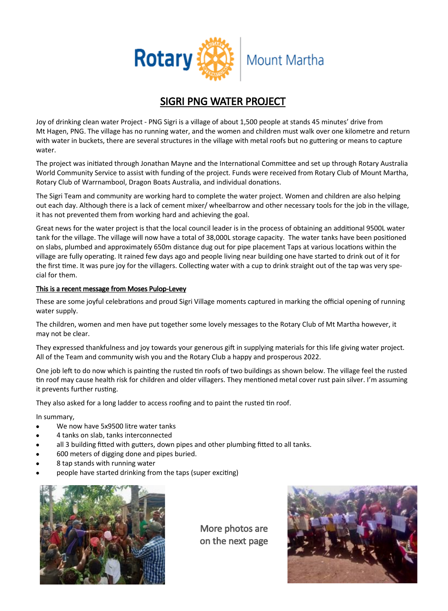

### SIGRI PNG WATER PROJECT

Joy of drinking clean water Project - PNG Sigri is a village of about 1,500 people at stands 45 minutes' drive from Mt Hagen, PNG. The village has no running water, and the women and children must walk over one kilometre and return with water in buckets, there are several structures in the village with metal roofs but no guttering or means to capture water.

The project was initiated through Jonathan Mayne and the International Committee and set up through Rotary Australia World Community Service to assist with funding of the project. Funds were received from Rotary Club of Mount Martha, Rotary Club of Warrnambool, Dragon Boats Australia, and individual donations.

The Sigri Team and community are working hard to complete the water project. Women and children are also helping out each day. Although there is a lack of cement mixer/ wheelbarrow and other necessary tools for the job in the village, it has not prevented them from working hard and achieving the goal.

Great news for the water project is that the local council leader is in the process of obtaining an additional 9500L water tank for the village. The village will now have a total of 38,000L storage capacity. The water tanks have been positioned on slabs, plumbed and approximately 650m distance dug out for pipe placement Taps at various locations within the village are fully operating. It rained few days ago and people living near building one have started to drink out of it for the first time. It was pure joy for the villagers. Collecting water with a cup to drink straight out of the tap was very special for them.

#### This is a recent message from Moses Pulop-Levey

These are some joyful celebrations and proud Sigri Village moments captured in marking the official opening of running water supply.

The children, women and men have put together some lovely messages to the Rotary Club of Mt Martha however, it may not be clear.

They expressed thankfulness and joy towards your generous gift in supplying materials for this life giving water project. All of the Team and community wish you and the Rotary Club a happy and prosperous 2022.

One job left to do now which is painting the rusted tin roofs of two buildings as shown below. The village feel the rusted tin roof may cause health risk for children and older villagers. They mentioned metal cover rust pain silver. I'm assuming it prevents further rusting.

They also asked for a long ladder to access roofing and to paint the rusted tin roof.

In summary,

- We now have 5x9500 litre water tanks
- 4 tanks on slab, tanks interconnected
- all 3 building fitted with gutters, down pipes and other plumbing fitted to all tanks.
- 600 meters of digging done and pipes buried.
- 8 tap stands with running water
- people have started drinking from the taps (super exciting)



More photos are on the next page

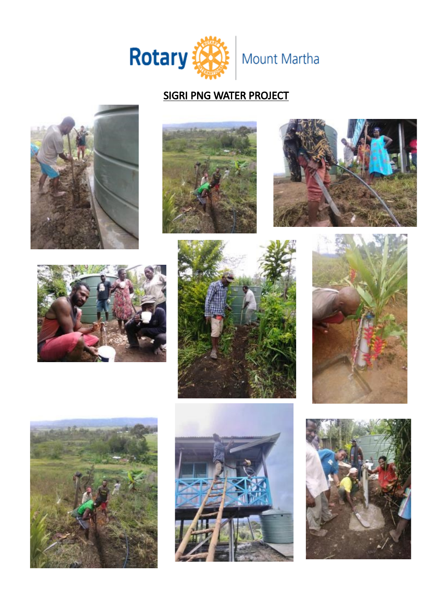

## SIGRI PNG WATER PROJECT

















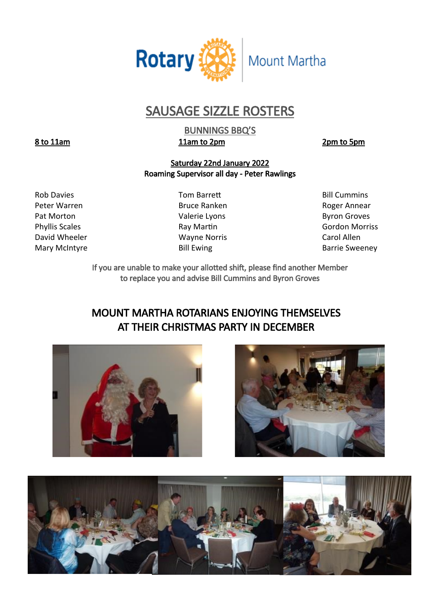

## SAUSAGE SIZZLE ROSTERS

BUNNINGS BBQ'S 8 to 11am 11am to 2pm 2pm b 5pm

#### Saturday 22nd January 2022 Roaming Supervisor all day - Peter Rawlings

Peter Warren **Bruce Ranken** Bruce Ranken Roger Annear Pat Morton **Pat Morton** Christian Materie Lyons **Christian Christian Christian Material Provinces** David Wheeler **No. 2018** Wayne Norris **Carol Allen** 

Rob Davies **No. 2018** Tom Barrett **Communis** Bill Cummins

Phyllis Scales **Ray Martin** Ray Martin **Ray Martin** Gordon Morriss Mary McIntyre **Bill Ewing Community** Bill Ewing **Barrie Sweeney** 

> If you are unable to make your allotted shift, please find another Member to replace you and advise Bill Cummins and Byron Groves

### MOUNT MARTHA ROTARIANS ENJOYING THEMSELVES AT THEIR CHRISTMAS PARTY IN DECEMBER





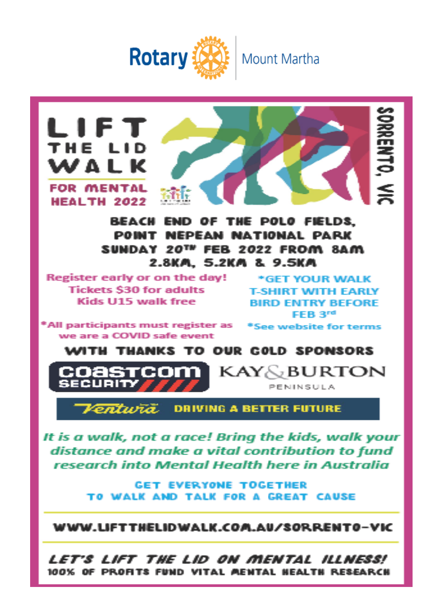



It is a walk, not a race! Bring the kids, walk your distance and make a vital contribution to fund research into Mental Health here in Australia

> **GET EVERYONE TOGETHER** TO WALK AND TALK FOR A GREAT CAUSE

WWW.LIFTTHELIDWALK.COM.AU/SORRENTO-VIC

Let's lift the Lid on mental illness! 100% OF PROFITS FUND VITAL MENTAL NEALTH RESEARCH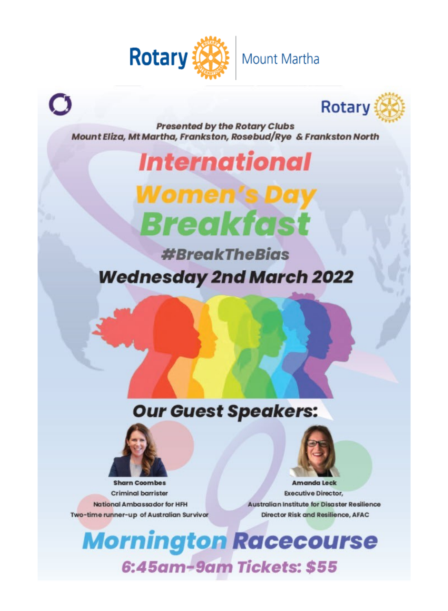

# C



**Presented by the Rotary Clubs** Mount Eliza, Mt Martha, Frankston, Rosebud/Rye & Frankston North

## **International**

# Women's D **Breakfast**

**#BreakTheBias Wednesday 2nd March 2022** 

## **Our Guest Speakers:**



**Sharn Coombes Criminal barrister** National Ambassador for HFH Two-time runner-up of Australian Survivor



Amanda Leck **Executive Director,** Australian Institute for Disaster Resilience Director Risk and Resilience, AFAC

## **Mornington Racecourse** 6:45am-9am Tickets: \$55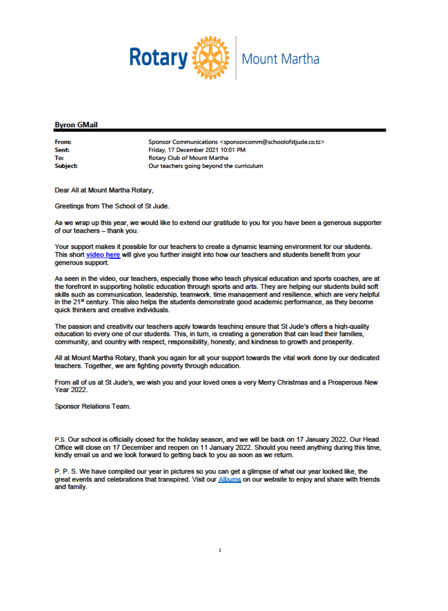

#### **Byron GMail**

**From: Sant-**To: Subject:

Sponsor Communications <sponsorcomm@schoolofstjude.co.tz> Friday, 17 December 2021 10:01 PM Rotary Club of Mount Martha Our teachers going beyond the curriculum

Dear All at Mount Martha Rotary.

Greetings from The School of St Jude.

As we wrap up this year, we would like to extend our gratitude to you for you have been a generous supporter of our teachers - thank you.

Your support makes it possible for our teachers to create a dynamic learning environment for our students. This short video here will give you further insight into how our teachers and students benefit from your generous support.

As seen in the video, our teachers, especially those who teach physical education and sports coaches, are at the forefront in supporting holistic education through sports and arts. They are helping our students build soft skills such as communication, leadership, teamwork, time management and resilience, which are very helpful in the 21<sup>st</sup> century. This also helps the students demonstrate good academic performance, as they become quick thinkers and creative individuals.

The passion and creativity our teachers apply towards teaching ensure that St Jude's offers a high-quality education to every one of our students. This, in turn, is creating a generation that can lead their families, community, and country with respect, responsibility, honesty, and kindness to growth and prosperity.

All at Mount Martha Rotary, thank you again for all your support towards the vital work done by our dedicated teachers. Together, we are fighting poverty through education.

From all of us at St Jude's, we wish you and your loved ones a very Merry Christmas and a Prosperous New **Year 2022** 

**Sponsor Relations Team.** 

P.S. Our school is officially closed for the holiday season, and we will be back on 17 January 2022. Our Head Office will close on 17 December and reopen on 11 January 2022. Should you need anything during this time, kindly email us and we look forward to getting back to you as soon as we return.

P. P. S. We have compiled our year in pictures so you can get a glimpse of what our year looked like, the great events and celebrations that transpired. Visit our Albums on our website to enjoy and share with friends and family.